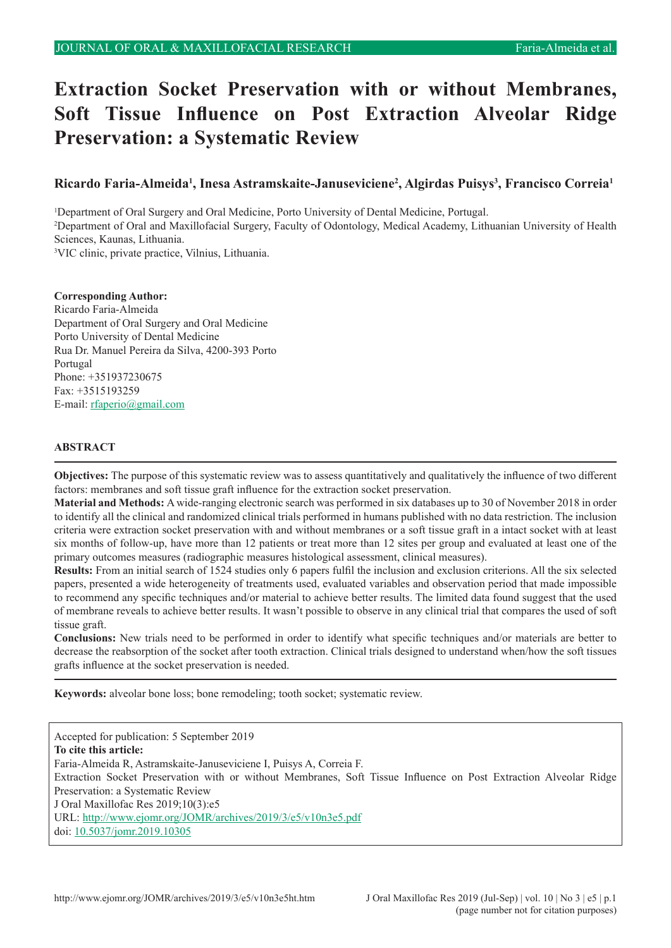# **Extraction Socket Preservation with or without Membranes, Soft Tissue Influence on Post Extraction Alveolar Ridge Preservation: a Systematic Review**

# **Ricardo Faria-Almeida<sup>1</sup> , Inesa Astramskaite-Januseviciene<sup>2</sup> , Algirdas Puisys<sup>3</sup> , Francisco Correia<sup>1</sup>**

 Department of Oral Surgery and Oral Medicine, Porto University of Dental Medicine, Portugal. Department of Oral and Maxillofacial Surgery, Faculty of Odontology, Medical Academy, Lithuanian University of Health Sciences, Kaunas, Lithuania. VIC clinic, private practice, Vilnius, Lithuania.

**Corresponding Author:** Ricardo Faria-Almeida Department of Oral Surgery and Oral Medicine Porto University of Dental Medicine Rua Dr. Manuel Pereira da Silva, 4200-393 Porto Portugal Phone: +351937230675 Fax: +3515193259 E-mail: [rfaperio@gmail.com](mailto:rfaperio%40gmail.com?subject=)

#### **ABSTRACT**

**Objectives:** The purpose of this systematic review was to assess quantitatively and qualitatively the influence of two different factors: membranes and soft tissue graft influence for the extraction socket preservation.

**Material and Methods:** A wide-ranging electronic search was performed in six databases up to 30 of November 2018 in order to identify all the clinical and randomized clinical trials performed in humans published with no data restriction. The inclusion criteria were extraction socket preservation with and without membranes or a soft tissue graft in a intact socket with at least six months of follow-up, have more than 12 patients or treat more than 12 sites per group and evaluated at least one of the primary outcomes measures (radiographic measures histological assessment, clinical measures).

**Results:** From an initial search of 1524 studies only 6 papers fulfil the inclusion and exclusion criterions. All the six selected papers, presented a wide heterogeneity of treatments used, evaluated variables and observation period that made impossible to recommend any specific techniques and/or material to achieve better results. The limited data found suggest that the used of membrane reveals to achieve better results. It wasn't possible to observe in any clinical trial that compares the used of soft tissue graft.

**Conclusions:** New trials need to be performed in order to identify what specific techniques and/or materials are better to decrease the reabsorption of the socket after tooth extraction. Clinical trials designed to understand when/how the soft tissues grafts influence at the socket preservation is needed.

**Keywords:** alveolar bone loss; bone remodeling; tooth socket; systematic review.

Accepted for publication: 5 September 2019 **To cite this article:** Faria-Almeida R, Astramskaite-Januseviciene I, Puisys A, Correia F. Extraction Socket Preservation with or without Membranes, Soft Tissue Influence on Post Extraction Alveolar Ridge Preservation: a Systematic Review J Oral Maxillofac Res 2019;10(3):e5 URL: <http://www.ejomr.org/JOMR/archives/2019/3/e5/v10n3e5.pdf> doi: [10.5037/jomr.2019.10305](http://dx.doi.org/10.5037/jomr.2019.10305)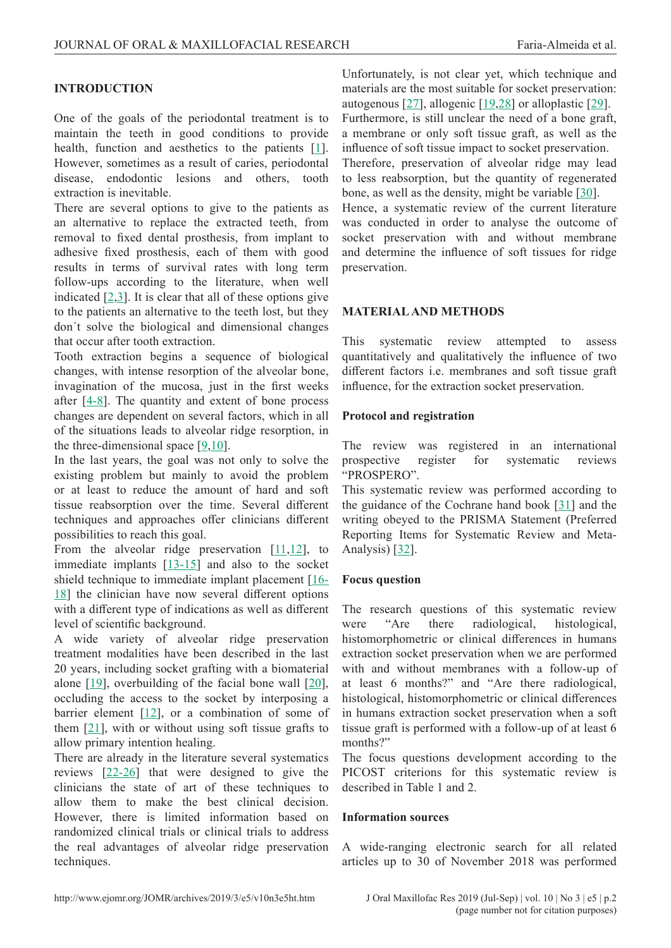#### **INTRODUCTION**

One of the goals of the periodontal treatment is to maintain the teeth in good conditions to provide health, function and aesthetics to the patients [[1](#page-9-0)]. However, sometimes as a result of caries, periodontal disease, endodontic lesions and others, tooth extraction is inevitable.

There are several options to give to the patients as an alternative to replace the extracted teeth, from removal to fixed dental prosthesis, from implant to adhesive fixed prosthesis, each of them with good results in terms of survival rates with long term follow-ups according to the literature, when well indicated  $[2,3]$  $[2,3]$  $[2,3]$  $[2,3]$ . It is clear that all of these options give to the patients an alternative to the teeth lost, but they don´t solve the biological and dimensional changes that occur after tooth extraction.

Tooth extraction begins a sequence of biological changes, with intense resorption of the alveolar bone, invagination of the mucosa, just in the first weeks after [[4-8\]](#page-9-0). The quantity and extent of bone process changes are dependent on several factors, which in all of the situations leads to alveolar ridge resorption, in the three-dimensional space  $[9,10]$  $[9,10]$  $[9,10]$ .

In the last years, the goal was not only to solve the existing problem but mainly to avoid the problem or at least to reduce the amount of hard and soft tissue reabsorption over the time. Several different techniques and approaches offer clinicians different possibilities to reach this goal.

From the alveolar ridge preservation  $[11,12]$  $[11,12]$  $[11,12]$ , to immediate implants [[13-15](#page-9-0)] and also to the socket shield technique to immediate implant placement [[16-](#page-10-0) [18](#page-10-0)] the clinician have now several different options with a different type of indications as well as different level of scientific background.

A wide variety of alveolar ridge preservation treatment modalities have been described in the last 20 years, including socket grafting with a biomaterial alone [[19\]](#page-10-0), overbuilding of the facial bone wall [[20](#page-10-0)], occluding the access to the socket by interposing a barrier element [[12](#page-9-0)], or a combination of some of them [[21](#page-10-0)], with or without using soft tissue grafts to allow primary intention healing.

There are already in the literature several systematics reviews [\[22-26](#page-10-0)] that were designed to give the clinicians the state of art of these techniques to allow them to make the best clinical decision. However, there is limited information based on randomized clinical trials or clinical trials to address the real advantages of alveolar ridge preservation techniques.

Unfortunately, is not clear yet, which technique and materials are the most suitable for socket preservation: autogenous  $[27]$  $[27]$ , allogenic  $[19,28]$  $[19,28]$  or alloplastic  $[29]$  $[29]$ . Furthermore, is still unclear the need of a bone graft, a membrane or only soft tissue graft, as well as the

influence of soft tissue impact to socket preservation. Therefore, preservation of alveolar ridge may lead to less reabsorption, but the quantity of regenerated bone, as well as the density, might be variable [[30\]](#page-10-0).

Hence, a systematic review of the current literature was conducted in order to analyse the outcome of socket preservation with and without membrane and determine the influence of soft tissues for ridge preservation.

## **MATERIAL AND METHODS**

This systematic review attempted to assess quantitatively and qualitatively the influence of two different factors i.e. membranes and soft tissue graft influence, for the extraction socket preservation.

#### **Protocol and registration**

The review was registered in an international prospective register for systematic reviews "PROSPERO".

This systematic review was performed according to the guidance of the Cochrane hand book [[31\]](#page-10-0) and the writing obeyed to the PRISMA Statement (Preferred Reporting Items for Systematic Review and Meta-Analysis) [[32\]](#page-10-0).

## **Focus question**

The research questions of this systematic review were "Are there radiological, histological, histomorphometric or clinical differences in humans extraction socket preservation when we are performed with and without membranes with a follow-up of at least 6 months?" and "Are there radiological, histological, histomorphometric or clinical differences in humans extraction socket preservation when a soft tissue graft is performed with a follow-up of at least 6 months?"

The focus questions development according to the PICOST criterions for this systematic review is described in Table 1 and 2.

#### **Information sources**

A wide-ranging electronic search for all related articles up to 30 of November 2018 was performed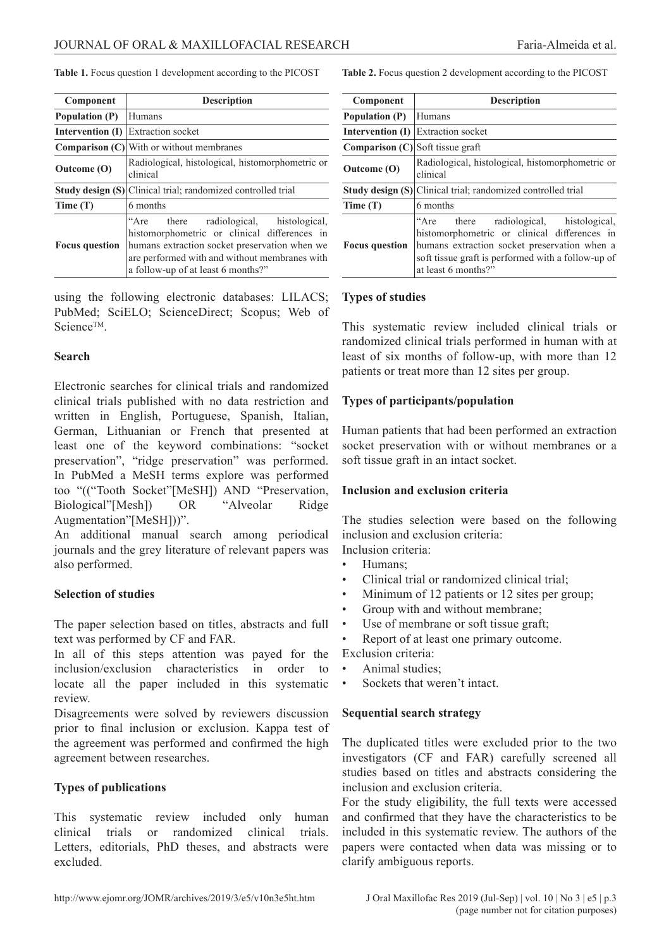**Table 1.** Focus question 1 development according to the PICOST

| Component                                 | <b>Description</b>                                                                                                                                                                                                             |  |  |  |  |
|-------------------------------------------|--------------------------------------------------------------------------------------------------------------------------------------------------------------------------------------------------------------------------------|--|--|--|--|
| <b>Population (P)</b>                     | Humans                                                                                                                                                                                                                         |  |  |  |  |
| <b>Intervention (I)</b> Extraction socket |                                                                                                                                                                                                                                |  |  |  |  |
|                                           | <b>Comparison (C)</b> With or without membranes                                                                                                                                                                                |  |  |  |  |
| Outcome (O)                               | Radiological, histological, histomorphometric or<br>clinical                                                                                                                                                                   |  |  |  |  |
|                                           | Study design (S) Clinical trial; randomized controlled trial                                                                                                                                                                   |  |  |  |  |
| Time(T)                                   | 6 months                                                                                                                                                                                                                       |  |  |  |  |
| <b>Focus</b> question                     | "Are there radiological, histological,<br>histomorphometric or clinical differences in<br>humans extraction socket preservation when we<br>are performed with and without membranes with<br>a follow-up of at least 6 months?" |  |  |  |  |

using the following electronic databases: LILACS; PubMed; SciELO; ScienceDirect; Scopus; Web of ScienceTM.

## **Search**

Electronic searches for clinical trials and randomized clinical trials published with no data restriction and written in English, Portuguese, Spanish, Italian, German, Lithuanian or French that presented at least one of the keyword combinations: "socket preservation", "ridge preservation" was performed. In PubMed a MeSH terms explore was performed too "(("Tooth Socket"[MeSH]) AND "Preservation, Biological"[Mesh]) OR "Alveolar Ridge Augmentation"[MeSH]))".

An additional manual search among periodical journals and the grey literature of relevant papers was also performed.

## **Selection of studies**

The paper selection based on titles, abstracts and full text was performed by CF and FAR.

In all of this steps attention was payed for the inclusion/exclusion characteristics in order to locate all the paper included in this systematic review.

Disagreements were solved by reviewers discussion prior to final inclusion or exclusion. Kappa test of the agreement was performed and confirmed the high agreement between researches.

## **Types of publications**

This systematic review included only human clinical trials or randomized clinical trials. Letters, editorials, PhD theses, and abstracts were excluded.

**Table 2.** Focus question 2 development according to the PICOST

| Component                                            | <b>Description</b>                                                                                                                                                                                                  |  |  |  |  |
|------------------------------------------------------|---------------------------------------------------------------------------------------------------------------------------------------------------------------------------------------------------------------------|--|--|--|--|
| Population (P)                                       | Humans                                                                                                                                                                                                              |  |  |  |  |
| <b>Intervention (I)</b> Extraction socket            |                                                                                                                                                                                                                     |  |  |  |  |
| <b>Comparison <math>(C)</math></b> Soft tissue graft |                                                                                                                                                                                                                     |  |  |  |  |
| Outcome (O)                                          | Radiological, histological, histomorphometric or<br>clinical                                                                                                                                                        |  |  |  |  |
|                                                      | Study design (S) Clinical trial; randomized controlled trial                                                                                                                                                        |  |  |  |  |
| Time(T)                                              | 6 months                                                                                                                                                                                                            |  |  |  |  |
| <b>Focus question</b>                                | "Are there radiological, histological,<br>histomorphometric or clinical differences in<br>humans extraction socket preservation when a<br>soft tissue graft is performed with a follow-up of<br>at least 6 months?" |  |  |  |  |

## **Types of studies**

This systematic review included clinical trials or randomized clinical trials performed in human with at least of six months of follow-up, with more than 12 patients or treat more than 12 sites per group.

# **Types of participants/population**

Human patients that had been performed an extraction socket preservation with or without membranes or a soft tissue graft in an intact socket.

## **Inclusion and exclusion criteria**

The studies selection were based on the following inclusion and exclusion criteria: Inclusion criteria:

- Humans;
	-
- Clinical trial or randomized clinical trial;
- Minimum of 12 patients or 12 sites per group;
- Group with and without membrane;
- Use of membrane or soft tissue graft;
- Report of at least one primary outcome.

Exclusion criteria:

- Animal studies:
- Sockets that weren't intact.

## **Sequential search strategy**

The duplicated titles were excluded prior to the two investigators (CF and FAR) carefully screened all studies based on titles and abstracts considering the inclusion and exclusion criteria.

For the study eligibility, the full texts were accessed and confirmed that they have the characteristics to be included in this systematic review. The authors of the papers were contacted when data was missing or to clarify ambiguous reports.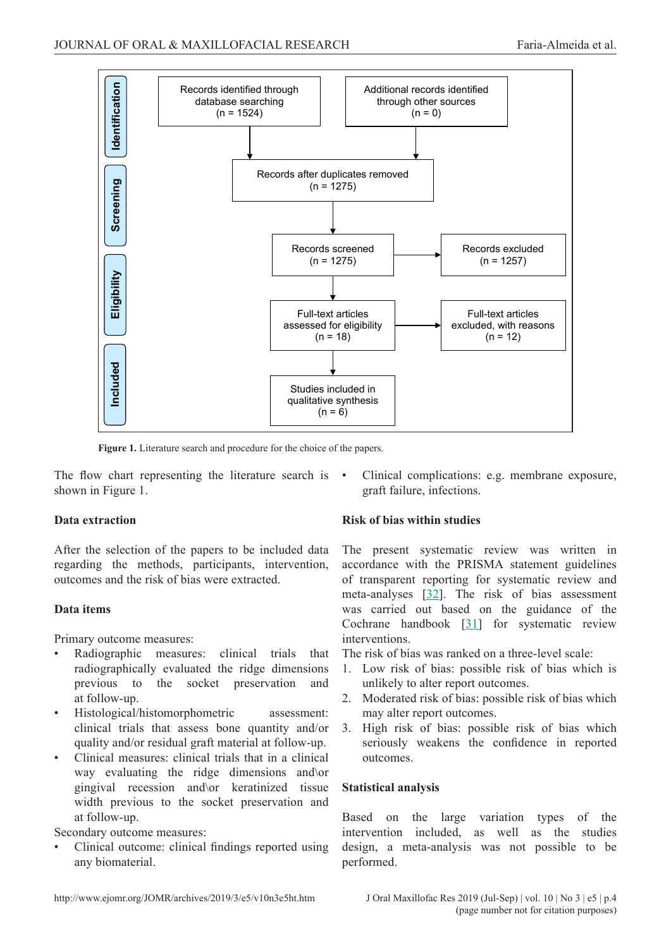

**Figure 1.** Literature search and procedure for the choice of the papers.

The flow chart representing the literature search is • shown in Figure 1.

## **Data extraction**

After the selection of the papers to be included data regarding the methods, participants, intervention, outcomes and the risk of bias were extracted.

## **Data items**

Primary outcome measures:

- Radiographic measures: clinical trials that radiographically evaluated the ridge dimensions previous to the socket preservation and at follow-up.
- Histological/histomorphometric assessment: clinical trials that assess bone quantity and/or quality and/or residual graft material at follow-up.
- Clinical measures: clinical trials that in a clinical way evaluating the ridge dimensions and\or gingival recession and\or keratinized tissue width previous to the socket preservation and at follow-up.

Secondary outcome measures:

• Clinical outcome: clinical findings reported using any biomaterial.

# • Clinical complications: e.g. membrane exposure, graft failure, infections.

# **Risk of bias within studies**

The present systematic review was written in accordance with the PRISMA statement guidelines of transparent reporting for systematic review and meta-analyses [[32\]](#page-10-0). The risk of bias assessment was carried out based on the guidance of the Cochrane handbook [\[31](#page-10-0)] for systematic review interventions.

The risk of bias was ranked on a three-level scale:

- 1. Low risk of bias: possible risk of bias which is unlikely to alter report outcomes.
- 2. Moderated risk of bias: possible risk of bias which may alter report outcomes.
- 3. High risk of bias: possible risk of bias which seriously weakens the confidence in reported outcomes.

# **Statistical analysis**

Based on the large variation types of the intervention included, as well as the studies design, a meta-analysis was not possible to be performed.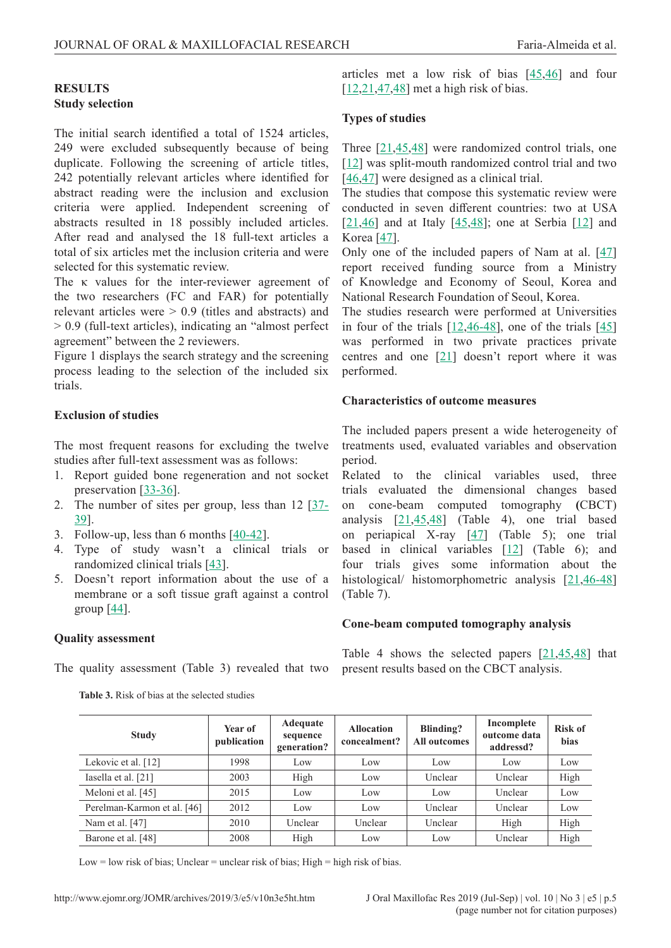## **RESULTS Study selection**

The initial search identified a total of 1524 articles, 249 were excluded subsequently because of being duplicate. Following the screening of article titles, 242 potentially relevant articles where identified for abstract reading were the inclusion and exclusion criteria were applied. Independent screening of abstracts resulted in 18 possibly included articles. After read and analysed the 18 full-text articles a total of six articles met the inclusion criteria and were selected for this systematic review.

The κ values for the inter-reviewer agreement of the two researchers (FC and FAR) for potentially relevant articles were > 0.9 (titles and abstracts) and > 0.9 (full-text articles), indicating an "almost perfect agreement" between the 2 reviewers.

Figure 1 displays the search strategy and the screening process leading to the selection of the included six trials.

## **Exclusion of studies**

The most frequent reasons for excluding the twelve studies after full-text assessment was as follows:

- 1. Report guided bone regeneration and not socket preservation [[33-36](#page-10-0)].
- 2. The number of sites per group, less than 12 [[37-](#page-11-0) [39](#page-11-0)].
- 3. Follow-up, less than 6 months [[40-42\]](#page-11-0).
- 4. Type of study wasn't a clinical trials or randomized clinical trials [[43\]](#page-11-0).
- 5. Doesn't report information about the use of a membrane or a soft tissue graft against a control group  $[44]$ .

## **Quality assessment**

The quality assessment (Table 3) revealed that two

| <b>Table 3.</b> Risk of bias at the selected studies |  |
|------------------------------------------------------|--|
|------------------------------------------------------|--|

articles met a low risk of bias [[45,46](#page-11-0)] and four  $[12,21,47,48]$  $[12,21,47,48]$  $[12,21,47,48]$  $[12,21,47,48]$  met a high risk of bias.

#### **Types of studies**

Three [\[21](#page-10-0)[,45,48](#page-11-0)] were randomized control trials, one [\[12](#page-9-0)] was split-mouth randomized control trial and two [\[46,47](#page-11-0)] were designed as a clinical trial.

The studies that compose this systematic review were conducted in seven different countries: two at USA [\[21](#page-10-0)[,46](#page-11-0)] and at Italy [[45](#page-11-0),[48\]](#page-11-0); one at Serbia [[12\]](#page-9-0) and Korea [\[47](#page-11-0)].

Only one of the included papers of Nam at al.  $[47]$  $[47]$ report received funding source from a Ministry of Knowledge and Economy of Seoul, Korea and National Research Foundation of Seoul, Korea.

The studies research were performed at Universities in four of the trials [\[12,](#page-9-0)[46-48](#page-11-0)], one of the trials [[45\]](#page-11-0) was performed in two private practices private centres and one [\[21](#page-10-0)] doesn't report where it was performed.

#### **Characteristics of outcome measures**

The included papers present a wide heterogeneity of treatments used, evaluated variables and observation period.

Related to the clinical variables used, three trials evaluated the dimensional changes based on cone-beam computed tomography **(**CBCT) analysis  $[21, 45, 48]$  $[21, 45, 48]$  $[21, 45, 48]$  (Table 4), one trial based on periapical X-ray [\[47](#page-11-0)] (Table 5); one trial based in clinical variables [\[12\]](#page-9-0) (Table 6); and four trials gives some information about the histological/ histomorphometric analysis [[21,](#page-10-0)[46-48\]](#page-11-0) (Table 7).

## **Cone-beam computed tomography analysis**

Table 4 shows the selected papers [[21,](#page-10-0)[45,48\]](#page-11-0) that present results based on the CBCT analysis.

| <b>Study</b>                | Year of<br>publication | Adequate<br>sequence<br>generation? | <b>Allocation</b><br>concealment? | Blinding?<br>All outcomes | Incomplete<br>outcome data<br>addressd? | <b>Risk of</b><br>bias |
|-----------------------------|------------------------|-------------------------------------|-----------------------------------|---------------------------|-----------------------------------------|------------------------|
| Lekovic et al. [12]         | 1998                   | Low                                 | Low                               | Low                       | Low                                     | Low                    |
| Iasella et al. [21]         | 2003                   | High                                | Low                               | Unclear                   | Unclear                                 | High                   |
| Meloni et al. [45]          | 2015                   | Low                                 | Low                               | Low                       | Unclear                                 | Low                    |
| Perelman-Karmon et al. [46] | 2012                   | Low                                 | Low                               | Unclear                   | Unclear                                 | Low                    |
| Nam et al. [47]             | 2010                   | Unclear                             | Unclear                           | Unclear                   | High                                    | High                   |
| Barone et al. [48]          | 2008                   | High                                | Low                               | Low                       | Unclear                                 | High                   |

Low = low risk of bias; Unclear = unclear risk of bias; High = high risk of bias.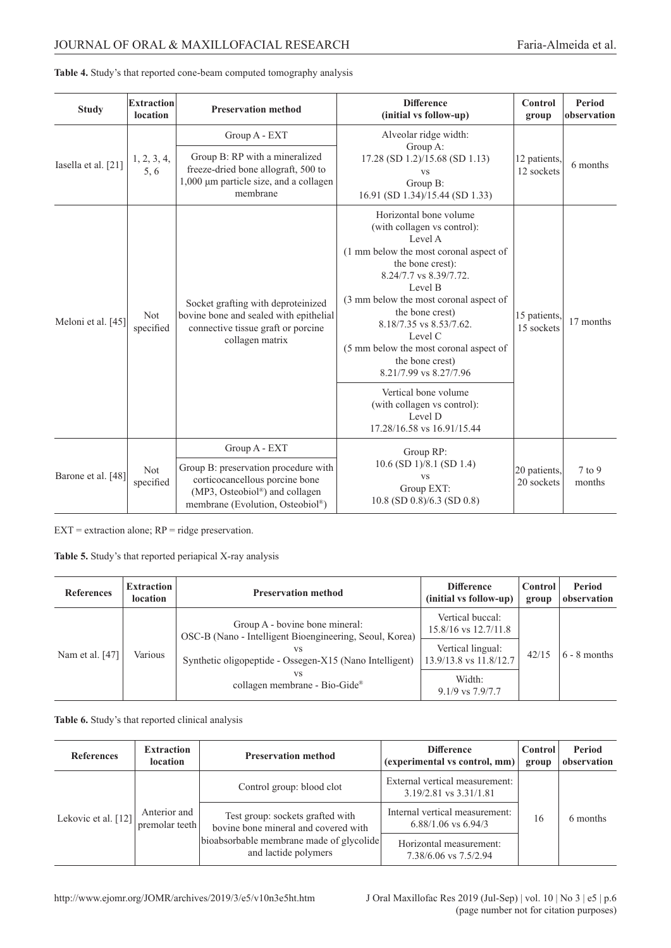# JOURNAL OF ORAL & MAXILLOFACIAL RESEARCH Faria-Almeida et al.

| <b>Study</b>        | <b>Extraction</b><br>location | <b>Preservation method</b>                                                                                                                   | <b>Difference</b><br>(initial vs follow-up)                                                                                                                                                                                                                                                                                                                                                                                                                   | Control<br>group           | Period<br>observation |
|---------------------|-------------------------------|----------------------------------------------------------------------------------------------------------------------------------------------|---------------------------------------------------------------------------------------------------------------------------------------------------------------------------------------------------------------------------------------------------------------------------------------------------------------------------------------------------------------------------------------------------------------------------------------------------------------|----------------------------|-----------------------|
| Iasella et al. [21] | 1, 2, 3, 4,<br>5,6            | Group A - EXT<br>Group B: RP with a mineralized<br>freeze-dried bone allograft, 500 to<br>1,000 µm particle size, and a collagen<br>membrane | Alveolar ridge width:<br>Group A:<br>17.28 (SD 1.2)/15.68 (SD 1.13)<br><b>VS</b><br>Group B:<br>16.91 (SD 1.34)/15.44 (SD 1.33)                                                                                                                                                                                                                                                                                                                               | 12 patients,<br>12 sockets | 6 months              |
| Meloni et al. [45]  | Not<br>specified              | Socket grafting with deproteinized<br>bovine bone and sealed with epithelial<br>connective tissue graft or porcine<br>collagen matrix        | Horizontal bone volume<br>(with collagen vs control):<br>Level A<br>(1 mm below the most coronal aspect of<br>the bone crest):<br>8.24/7.7 vs 8.39/7.72.<br>Level B<br>(3 mm below the most coronal aspect of<br>the bone crest)<br>8.18/7.35 vs 8.53/7.62.<br>Level C<br>(5 mm below the most coronal aspect of<br>the bone crest)<br>8.21/7.99 vs 8.27/7.96<br>Vertical bone volume<br>(with collagen vs control):<br>Level D<br>17.28/16.58 vs 16.91/15.44 | 15 patients,<br>15 sockets | 17 months             |
|                     |                               | Group A - EXT                                                                                                                                | Group RP:                                                                                                                                                                                                                                                                                                                                                                                                                                                     |                            |                       |
| Barone et al. [48]  | Not<br>specified              | Group B: preservation procedure with<br>corticocancellous porcine bone<br>(MP3, Osteobiol®) and collagen<br>membrane (Evolution, Osteobiol®) | $10.6$ (SD $1$ )/8.1 (SD 1.4)<br><b>VS</b><br>Group EXT:<br>$10.8$ (SD $0.8$ )/6.3 (SD $0.8$ )                                                                                                                                                                                                                                                                                                                                                                | 20 patients,<br>20 sockets | $7$ to 9<br>months    |

|  |  | Table 4. Study's that reported cone-beam computed tomography analysis |  |
|--|--|-----------------------------------------------------------------------|--|
|  |  |                                                                       |  |

 $EXT = extraction alone; RP = ridge preservation.$ 

**Table 5.** Study's that reported periapical X-ray analysis

| <b>References</b> | <b>Extraction</b><br><b>location</b> | <b>Preservation method</b>                                                                | <b>Difference</b><br>(initial vs follow-up)  | Control<br>group | Period<br>observation |
|-------------------|--------------------------------------|-------------------------------------------------------------------------------------------|----------------------------------------------|------------------|-----------------------|
| Nam et al. [47]   |                                      | Group A - bovine bone mineral:<br>OSC-B (Nano - Intelligent Bioengineering, Seoul, Korea) | Vertical buccal:<br>$15.8/16$ vs $12.7/11.8$ |                  | $6 - 8$ months        |
|                   | Various                              | VS<br>Synthetic oligopeptide - Ossegen-X15 (Nano Intelligent)                             | Vertical lingual:<br>13.9/13.8 vs 11.8/12.7  | 42/15            |                       |
|                   |                                      | vs<br>collagen membrane - Bio-Gide®                                                       | Width:<br>$9.1/9$ vs $7.9/7.7$               |                  |                       |

**Table 6.** Study's that reported clinical analysis

| <b>References</b>   | <b>Extraction</b><br><b>location</b> | <b>Preservation method</b>                                                                                                                   | <b>Difference</b><br>(experimental vs control, mm)        | Control<br>group | Period<br>observation |
|---------------------|--------------------------------------|----------------------------------------------------------------------------------------------------------------------------------------------|-----------------------------------------------------------|------------------|-----------------------|
| Lekovic et al. [12] | Anterior and<br>premolar teeth       | Control group: blood clot                                                                                                                    | External vertical measurement:<br>3.19/2.81 vs 3.31/1.81  |                  |                       |
|                     |                                      | Test group: sockets grafted with<br>bovine bone mineral and covered with<br>bioabsorbable membrane made of glycolide<br>and lactide polymers | Internal vertical measurement:<br>$6.88/1.06$ vs $6.94/3$ | 16               | 6 months              |
|                     |                                      |                                                                                                                                              | Horizontal measurement:<br>7.38/6.06 vs 7.5/2.94          |                  |                       |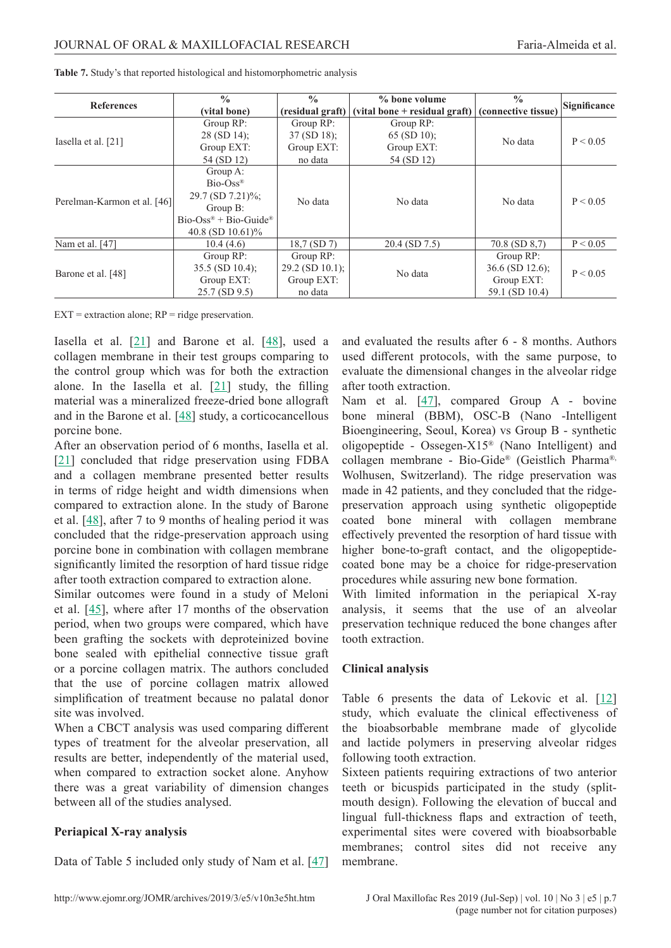|                             | $\frac{0}{0}$                                     | $\frac{0}{0}$     | % bone volume                                         | $\frac{0}{0}$      | Significance |
|-----------------------------|---------------------------------------------------|-------------------|-------------------------------------------------------|--------------------|--------------|
| <b>References</b>           | (vital bone)                                      | (residual graft)  | (vital bone + residual graft) $ $ (connective tissue) |                    |              |
|                             | Group RP:                                         | Group RP:         | Group RP:                                             |                    |              |
| Iasella et al. [21]         | 28 (SD 14);                                       | $37 (SD 18)$ ;    | $65 (SD 10)$ ;                                        | No data            | P < 0.05     |
|                             | Group EXT:                                        | Group EXT:        | Group EXT:                                            |                    |              |
|                             | 54 (SD 12)                                        | no data           | 54 (SD 12)                                            |                    |              |
|                             | Group A:                                          |                   |                                                       |                    |              |
|                             | $Bio-Oss^{\otimes}$                               |                   | No data                                               | No data            | P < 0.05     |
| Perelman-Karmon et al. [46] | 29.7 (SD 7.21)%;                                  | No data           |                                                       |                    |              |
|                             | Group B:                                          |                   |                                                       |                    |              |
|                             | $Bio-Oss^{\circledast} + Bio-Guide^{\circledast}$ |                   |                                                       |                    |              |
|                             | 40.8 (SD $10.61\%$ )                              |                   |                                                       |                    |              |
| Nam et al. [47]             | 10.4(4.6)                                         | 18,7 (SD 7)       | $20.4$ (SD 7.5)                                       | $70.8$ (SD $8,7$ ) | P < 0.05     |
|                             | Group RP:                                         | Group RP:         |                                                       | Group RP:          |              |
| Barone et al. [48]          | $35.5$ (SD 10.4);                                 | $29.2$ (SD 10.1); | No data                                               | $36.6$ (SD 12.6);  | P < 0.05     |
|                             | Group EXT:                                        | Group EXT:        |                                                       |                    |              |
|                             | $25.7$ (SD $9.5$ )                                | no data           |                                                       | 59.1 (SD 10.4)     |              |

**Table 7.** Study's that reported histological and histomorphometric analysis

 $EXT =$  extraction alone;  $RP =$  ridge preservation.

Iasella et al. [[21\]](#page-10-0) and Barone et al. [\[48](#page-11-0)], used a collagen membrane in their test groups comparing to the control group which was for both the extraction alone. In the Iasella et al.  $[21]$  $[21]$  study, the filling material was a mineralized freeze-dried bone allograft and in the Barone et al. [[48](#page-11-0)] study, a corticocancellous porcine bone.

After an observation period of 6 months, Iasella et al. [[21\]](#page-10-0) concluded that ridge preservation using FDBA and a collagen membrane presented better results in terms of ridge height and width dimensions when compared to extraction alone. In the study of Barone et al. [[48\]](#page-11-0), after 7 to 9 months of healing period it was concluded that the ridge-preservation approach using porcine bone in combination with collagen membrane significantly limited the resorption of hard tissue ridge after tooth extraction compared to extraction alone.

Similar outcomes were found in a study of Meloni et al. [[45](#page-11-0)], where after 17 months of the observation period, when two groups were compared, which have been grafting the sockets with deproteinized bovine bone sealed with epithelial connective tissue graft or a porcine collagen matrix. The authors concluded that the use of porcine collagen matrix allowed simplification of treatment because no palatal donor site was involved.

When a CBCT analysis was used comparing different types of treatment for the alveolar preservation, all results are better, independently of the material used, when compared to extraction socket alone. Anyhow there was a great variability of dimension changes between all of the studies analysed.

# **Periapical X-ray analysis**

Data of Table 5 included only study of Nam et al. [[47\]](#page-11-0)

and evaluated the results after 6 - 8 months. Authors used different protocols, with the same purpose, to evaluate the dimensional changes in the alveolar ridge after tooth extraction.

Nam et al. [[47\]](#page-11-0), compared Group A - bovine bone mineral (BBM), OSC-B (Nano -Intelligent Bioengineering, Seoul, Korea) vs Group B - synthetic oligopeptide - Ossegen-X15® (Nano Intelligent) and collagen membrane - Bio-Gide® (Geistlich Pharma®, Wolhusen, Switzerland). The ridge preservation was made in 42 patients, and they concluded that the ridgepreservation approach using synthetic oligopeptide coated bone mineral with collagen membrane effectively prevented the resorption of hard tissue with higher bone-to-graft contact, and the oligopeptidecoated bone may be a choice for ridge-preservation procedures while assuring new bone formation.

With limited information in the periapical X-ray analysis, it seems that the use of an alveolar preservation technique reduced the bone changes after tooth extraction.

## **Clinical analysis**

Table 6 presents the data of Lekovic et al.  $[12]$  $[12]$ study, which evaluate the clinical effectiveness of the bioabsorbable membrane made of glycolide and lactide polymers in preserving alveolar ridges following tooth extraction.

Sixteen patients requiring extractions of two anterior teeth or bicuspids participated in the study (splitmouth design). Following the elevation of buccal and lingual full-thickness flaps and extraction of teeth, experimental sites were covered with bioabsorbable membranes; control sites did not receive any membrane.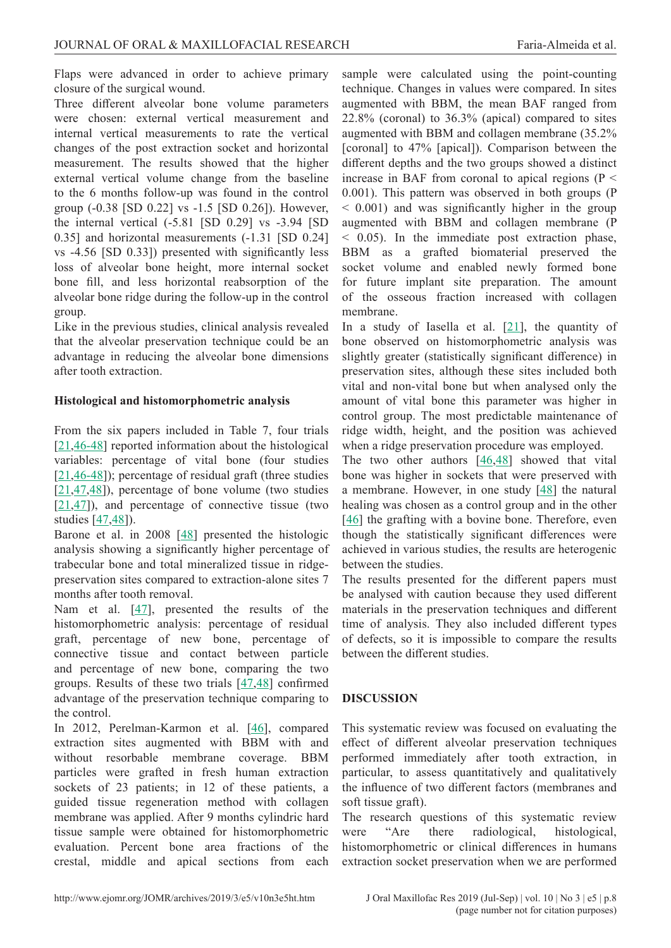Flaps were advanced in order to achieve primary closure of the surgical wound.

Three different alveolar bone volume parameters were chosen: external vertical measurement and internal vertical measurements to rate the vertical changes of the post extraction socket and horizontal measurement. The results showed that the higher external vertical volume change from the baseline to the 6 months follow-up was found in the control group (-0.38 [SD 0.22] vs -1.5 [SD 0.26]). However, the internal vertical (-5.81 [SD 0.29] vs -3.94 [SD 0.35] and horizontal measurements (-1.31 [SD 0.24] vs -4.56 [SD 0.33]) presented with significantly less loss of alveolar bone height, more internal socket bone fill, and less horizontal reabsorption of the alveolar bone ridge during the follow-up in the control group.

Like in the previous studies, clinical analysis revealed that the alveolar preservation technique could be an advantage in reducing the alveolar bone dimensions after tooth extraction.

## **Histological and histomorphometric analysis**

From the six papers included in Table 7, four trials [[21,](#page-10-0)[46-48\]](#page-11-0) reported information about the histological variables: percentage of vital bone (four studies [[21,](#page-10-0)[46-48\]](#page-11-0)); percentage of residual graft (three studies [[21,](#page-10-0)[47,48\]](#page-11-0)), percentage of bone volume (two studies  $[21, 47]$  $[21, 47]$  $[21, 47]$  $[21, 47]$ ), and percentage of connective tissue (two studies [\[47,48](#page-11-0)]).

Barone et al. in 2008 [[48\]](#page-11-0) presented the histologic analysis showing a significantly higher percentage of trabecular bone and total mineralized tissue in ridgepreservation sites compared to extraction-alone sites 7 months after tooth removal.

Nam et al. [[47\]](#page-11-0), presented the results of the histomorphometric analysis: percentage of residual graft, percentage of new bone, percentage of connective tissue and contact between particle and percentage of new bone, comparing the two groups. Results of these two trials [[47,48](#page-11-0)] confirmed advantage of the preservation technique comparing to the control.

In 2012, Perelman-Karmon et al. [[46](#page-11-0)], compared extraction sites augmented with BBM with and without resorbable membrane coverage. BBM particles were grafted in fresh human extraction sockets of 23 patients; in 12 of these patients, a guided tissue regeneration method with collagen membrane was applied. After 9 months cylindric hard tissue sample were obtained for histomorphometric evaluation. Percent bone area fractions of the crestal, middle and apical sections from each

sample were calculated using the point-counting technique. Changes in values were compared. In sites augmented with BBM, the mean BAF ranged from 22.8% (coronal) to 36.3% (apical) compared to sites augmented with BBM and collagen membrane (35.2% [coronal] to 47% [apical]). Comparison between the different depths and the two groups showed a distinct increase in BAF from coronal to apical regions ( $P <$ 0.001). This pattern was observed in both groups (P  $< 0.001$ ) and was significantly higher in the group augmented with BBM and collagen membrane (P < 0.05). In the immediate post extraction phase, BBM as a grafted biomaterial preserved the socket volume and enabled newly formed bone for future implant site preparation. The amount of the osseous fraction increased with collagen membrane.

In a study of Iasella et al.  $[21]$  $[21]$ , the quantity of bone observed on histomorphometric analysis was slightly greater (statistically significant difference) in preservation sites, although these sites included both vital and non-vital bone but when analysed only the amount of vital bone this parameter was higher in control group. The most predictable maintenance of ridge width, height, and the position was achieved when a ridge preservation procedure was employed.

The two other authors [\[46,48](#page-11-0)] showed that vital bone was higher in sockets that were preserved with a membrane. However, in one study [\[48\]](#page-11-0) the natural healing was chosen as a control group and in the other [\[46](#page-11-0)] the grafting with a bovine bone. Therefore, even though the statistically significant differences were achieved in various studies, the results are heterogenic between the studies.

The results presented for the different papers must be analysed with caution because they used different materials in the preservation techniques and different time of analysis. They also included different types of defects, so it is impossible to compare the results between the different studies.

# **DISCUSSION**

This systematic review was focused on evaluating the effect of different alveolar preservation techniques performed immediately after tooth extraction, in particular, to assess quantitatively and qualitatively the influence of two different factors (membranes and soft tissue graft).

The research questions of this systematic review were "Are there radiological, histological, histomorphometric or clinical differences in humans extraction socket preservation when we are performed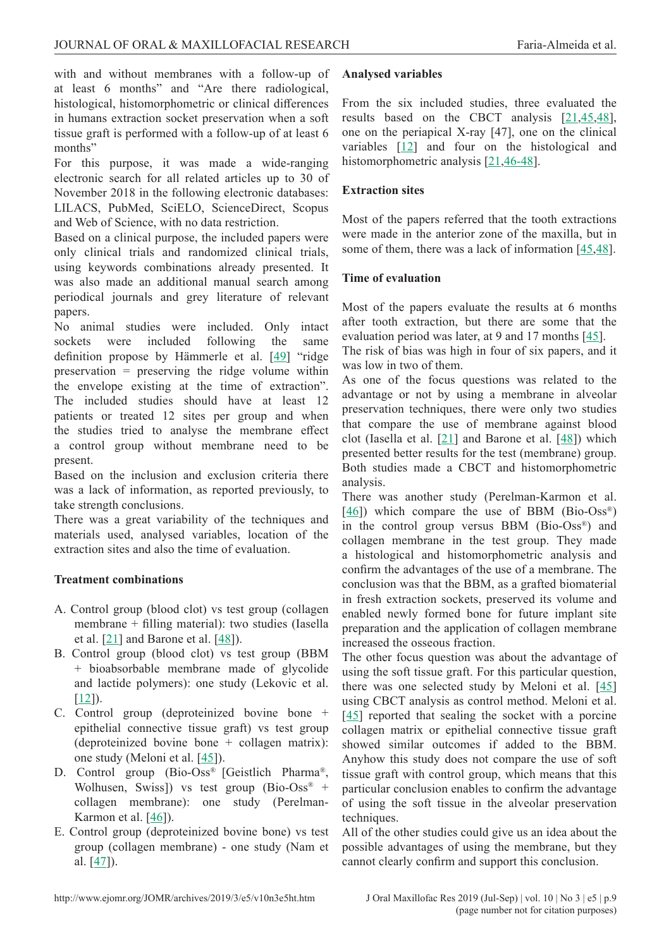with and without membranes with a follow-up of at least 6 months" and "Are there radiological, histological, histomorphometric or clinical differences in humans extraction socket preservation when a soft tissue graft is performed with a follow-up of at least 6 months"

For this purpose, it was made a wide-ranging electronic search for all related articles up to 30 of November 2018 in the following electronic databases: LILACS, PubMed, SciELO, ScienceDirect, Scopus and Web of Science, with no data restriction.

Based on a clinical purpose, the included papers were only clinical trials and randomized clinical trials, using keywords combinations already presented. It was also made an additional manual search among periodical journals and grey literature of relevant papers.

No animal studies were included. Only intact sockets were included following the same definition propose by Hämmerle et al. [[49](#page-11-0)] "ridge preservation = preserving the ridge volume within the envelope existing at the time of extraction". The included studies should have at least 12 patients or treated 12 sites per group and when the studies tried to analyse the membrane effect a control group without membrane need to be present.

Based on the inclusion and exclusion criteria there was a lack of information, as reported previously, to take strength conclusions.

There was a great variability of the techniques and materials used, analysed variables, location of the extraction sites and also the time of evaluation.

# **Treatment combinations**

- A. Control group (blood clot) vs test group (collagen membrane + filling material): two studies (Iasella et al.  $[21]$  $[21]$  and Barone et al.  $[48]$  $[48]$ ).
- B. Control group (blood clot) vs test group (BBM + bioabsorbable membrane made of glycolide and lactide polymers): one study (Lekovic et al.  $[12]$  $[12]$ ).
- C. Control group (deproteinized bovine bone + epithelial connective tissue graft) vs test group (deproteinized bovine bone + collagen matrix): one study (Meloni et al. [[45\]](#page-11-0)).
- D. Control group (Bio-Oss® [Geistlich Pharma®, Wolhusen, Swiss]) vs test group (Bio-Oss<sup>®</sup> + collagen membrane): one study (Perelman-Karmon et al.  $[46]$ ).
- E. Control group (deproteinized bovine bone) vs test group (collagen membrane) - one study (Nam et al. [\[47](#page-11-0)]).

## **Analysed variables**

From the six included studies, three evaluated the results based on the CBCT analysis [[21,](#page-10-0)[45,48\]](#page-11-0), one on the periapical X-ray [47], one on the clinical variables [[12\]](#page-9-0) and four on the histological and histomorphometric analysis [\[21,](#page-10-0)[46-48](#page-11-0)].

# **Extraction sites**

Most of the papers referred that the tooth extractions were made in the anterior zone of the maxilla, but in some of them, there was a lack of information [[45,48](#page-11-0)].

## **Time of evaluation**

Most of the papers evaluate the results at 6 months after tooth extraction, but there are some that the evaluation period was later, at 9 and 17 months [\[45](#page-11-0)].

The risk of bias was high in four of six papers, and it was low in two of them.

As one of the focus questions was related to the advantage or not by using a membrane in alveolar preservation techniques, there were only two studies that compare the use of membrane against blood clot (Iasella et al. [[21\]](#page-10-0) and Barone et al. [[48\]](#page-11-0)) which presented better results for the test (membrane) group. Both studies made a CBCT and histomorphometric analysis.

There was another study (Perelman-Karmon et al.  $[46]$  $[46]$ ) which compare the use of BBM (Bio-Oss<sup>®</sup>) in the control group versus BBM (Bio-Oss®) and collagen membrane in the test group. They made a histological and histomorphometric analysis and confirm the advantages of the use of a membrane. The conclusion was that the BBM, as a grafted biomaterial in fresh extraction sockets, preserved its volume and enabled newly formed bone for future implant site preparation and the application of collagen membrane increased the osseous fraction.

The other focus question was about the advantage of using the soft tissue graft. For this particular question, there was one selected study by Meloni et al.  $[45]$  $[45]$ using CBCT analysis as control method. Meloni et al. [\[45](#page-11-0)] reported that sealing the socket with a porcine collagen matrix or epithelial connective tissue graft showed similar outcomes if added to the BBM. Anyhow this study does not compare the use of soft tissue graft with control group, which means that this particular conclusion enables to confirm the advantage of using the soft tissue in the alveolar preservation techniques.

All of the other studies could give us an idea about the possible advantages of using the membrane, but they cannot clearly confirm and support this conclusion.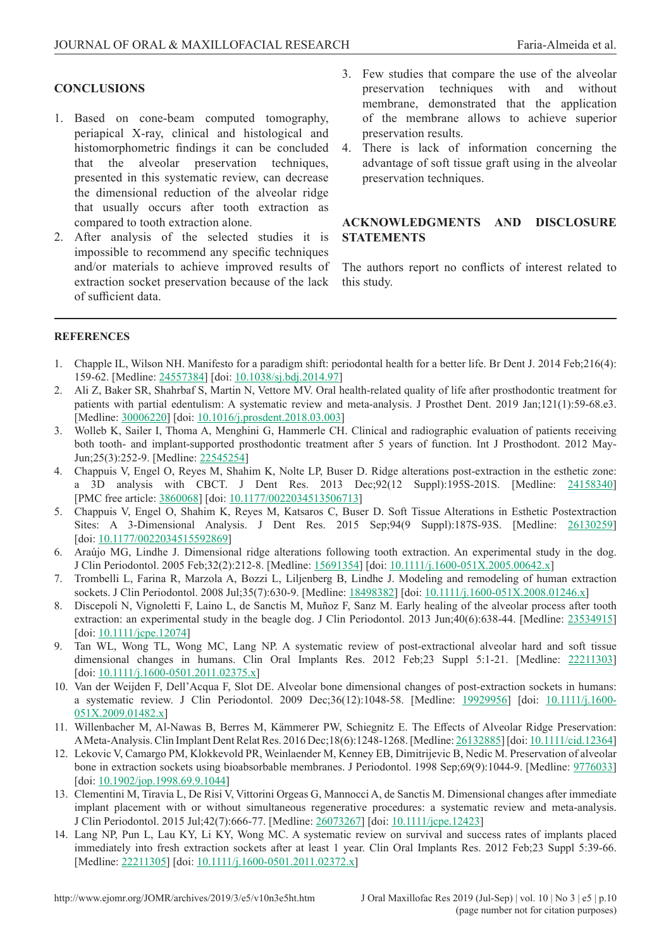## <span id="page-9-0"></span>**CONCLUSIONS**

- 1. Based on cone-beam computed tomography, periapical X-ray, clinical and histological and histomorphometric findings it can be concluded that the alveolar preservation techniques, presented in this systematic review, can decrease the dimensional reduction of the alveolar ridge that usually occurs after tooth extraction as compared to tooth extraction alone.
- 2. After analysis of the selected studies it is impossible to recommend any specific techniques and/or materials to achieve improved results of extraction socket preservation because of the lack of sufficient data.
- 3. Few studies that compare the use of the alveolar preservation techniques with and without membrane, demonstrated that the application of the membrane allows to achieve superior preservation results.
- 4. There is lack of information concerning the advantage of soft tissue graft using in the alveolar preservation techniques.

## **ACKNOWLEDGMENTS AND DISCLOSURE STATEMENTS**

The authors report no conflicts of interest related to this study.

## **REFERENCES**

- 1. Chapple IL, Wilson NH. Manifesto for a paradigm shift: periodontal health for a better life. Br Dent J. 2014 Feb;216(4): 159-62. [Medline: [24557384](http://www.ncbi.nlm.nih.gov/pubmed/24557384)] [doi: [10.1038/sj.bdj.2014.97](https://doi.org/10.1038/sj.bdj.2014.97)]
- 2. Ali Z, Baker SR, Shahrbaf S, Martin N, Vettore MV. Oral health-related quality of life after prosthodontic treatment for patients with partial edentulism: A systematic review and meta-analysis. J Prosthet Dent. 2019 Jan;121(1):59-68.e3. [Medline: [30006220\]](http://www.ncbi.nlm.nih.gov/pubmed/30006220) [doi: [10.1016/j.prosdent.2018.03.003](https://doi.org/10.1016/j.prosdent.2018.03.003)]
- 3. Wolleb K, Sailer I, Thoma A, Menghini G, Hammerle CH. Clinical and radiographic evaluation of patients receiving both tooth- and implant-supported prosthodontic treatment after 5 years of function. Int J Prosthodont. 2012 May-Jun;25(3):252-9. [Medline: [22545254](http://www.ncbi.nlm.nih.gov/pubmed/22545254)]
- 4. Chappuis V, Engel O, Reyes M, Shahim K, Nolte LP, Buser D. Ridge alterations post-extraction in the esthetic zone: a 3D analysis with CBCT. J Dent Res. 2013 Dec;92(12 Suppl):195S-201S. [Medline: [24158340\]](http://www.ncbi.nlm.nih.gov/pubmed/24158340) [PMC free article: [3860068](http://www.ncbi.nlm.nih.gov/pmc/articles/PMC3860068)] [doi: [10.1177/0022034513506713](https://doi.org/10.1177/0022034513506713)]
- 5. Chappuis V, Engel O, Shahim K, Reyes M, Katsaros C, Buser D. Soft Tissue Alterations in Esthetic Postextraction Sites: A 3-Dimensional Analysis. J Dent Res. 2015 Sep;94(9 Suppl):187S-93S. [Medline: [26130259\]](http://www.ncbi.nlm.nih.gov/pubmed/26130259) [doi: [10.1177/0022034515592869](https://doi.org/10.1177/0022034515592869)]
- 6. Araújo MG, Lindhe J. Dimensional ridge alterations following tooth extraction. An experimental study in the dog. J Clin Periodontol. 2005 Feb;32(2):212-8. [Medline: [15691354\]](http://www.ncbi.nlm.nih.gov/pubmed/15691354) [doi: [10.1111/j.1600-051X.2005.00642.x](https://doi.org/10.1111/j.1600-051X.2005.00642.x)]
- 7. Trombelli L, Farina R, Marzola A, Bozzi L, Liljenberg B, Lindhe J. Modeling and remodeling of human extraction sockets. J Clin Periodontol. 2008 Jul;35(7):630-9. [Medline: [18498382\]](http://www.ncbi.nlm.nih.gov/pubmed/18498382) [doi: [10.1111/j.1600-051X.2008.01246.x](https://doi.org/10.1111/j.1600-051X.2008.01246.x)]
- 8. Discepoli N, Vignoletti F, Laino L, de Sanctis M, Muñoz F, Sanz M. Early healing of the alveolar process after tooth extraction: an experimental study in the beagle dog. J Clin Periodontol. 2013 Jun;40(6):638-44. [Medline: [23534915\]](http://www.ncbi.nlm.nih.gov/pubmed/23534915) [doi: [10.1111/jcpe.12074](https://doi.org/10.1111/jcpe.12074)]
- 9. Tan WL, Wong TL, Wong MC, Lang NP. A systematic review of post-extractional alveolar hard and soft tissue dimensional changes in humans. Clin Oral Implants Res. 2012 Feb;23 Suppl 5:1-21. [Medline: [22211303\]](http://www.ncbi.nlm.nih.gov/pubmed/22211303) [doi: [10.1111/j.1600-0501.2011.02375.x](https://doi.org/10.1111/j.1600-0501.2011.02375.x)]
- 10. Van der Weijden F, Dell'Acqua F, Slot DE. Alveolar bone dimensional changes of post-extraction sockets in humans: a systematic review. J Clin Periodontol. 2009 Dec;36(12):1048-58. [Medline: [19929956](http://www.ncbi.nlm.nih.gov/pubmed/19929956)] [doi: [10.1111/j.1600-](https://doi.org/10.1111/j.1600-051X.2009.01482.x) [051X.2009.01482.x\]](https://doi.org/10.1111/j.1600-051X.2009.01482.x)
- 11. Willenbacher M, Al-Nawas B, Berres M, Kämmerer PW, Schiegnitz E. The Effects of Alveolar Ridge Preservation: A Meta-Analysis. Clin Implant Dent Relat Res. 2016 Dec;18(6):1248-1268. [Medline: [26132885\]](http://www.ncbi.nlm.nih.gov/pubmed/26132885) [doi: [10.1111/cid.12364](https://doi.org/10.1111/cid.12364)]
- 12. Lekovic V, Camargo PM, Klokkevold PR, Weinlaender M, Kenney EB, Dimitrijevic B, Nedic M. Preservation of alveolar bone in extraction sockets using bioabsorbable membranes. J Periodontol. 1998 Sep;69(9):1044-9. [Medline: [9776033\]](http://www.ncbi.nlm.nih.gov/pubmed/9776033) [doi: [10.1902/jop.1998.69.9.1044](https://doi.org/10.1902/jop.1998.69.9.1044)]
- 13. Clementini M, Tiravia L, De Risi V, Vittorini Orgeas G, Mannocci A, de Sanctis M. Dimensional changes after immediate implant placement with or without simultaneous regenerative procedures: a systematic review and meta-analysis. J Clin Periodontol. 2015 Jul;42(7):666-77. [Medline: [26073267](http://www.ncbi.nlm.nih.gov/pubmed/26073267)] [doi: [10.1111/jcpe.12423](https://doi.org/10.1111/jcpe.12423)]
- 14. Lang NP, Pun L, Lau KY, Li KY, Wong MC. A systematic review on survival and success rates of implants placed immediately into fresh extraction sockets after at least 1 year. Clin Oral Implants Res. 2012 Feb;23 Suppl 5:39-66. [Medline: [22211305\]](http://www.ncbi.nlm.nih.gov/pubmed/22211305) [doi: [10.1111/j.1600-0501.2011.02372.x](https://doi.org/10.1111/j.1600-0501.2011.02372.x)]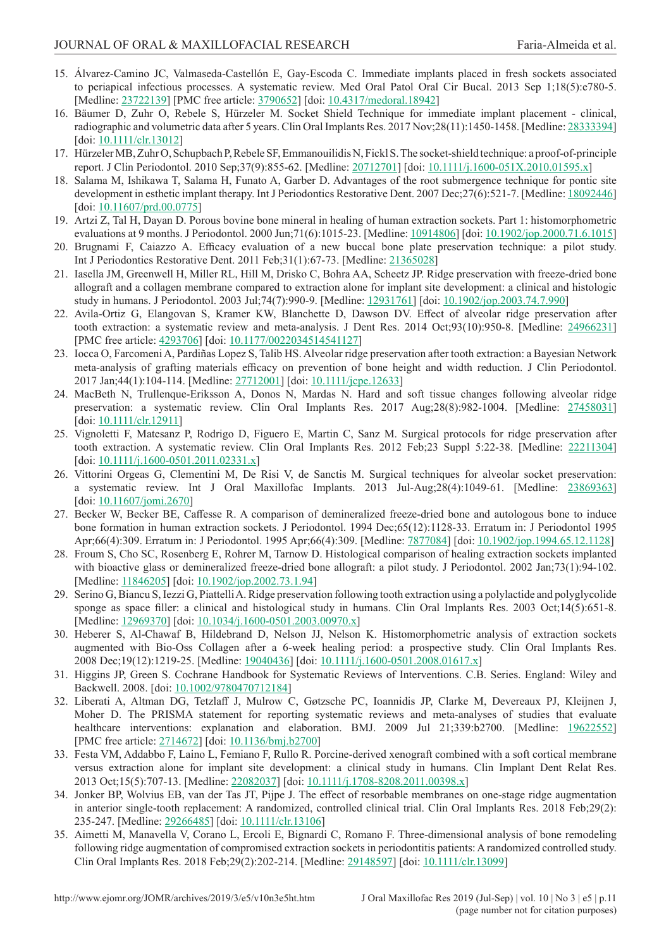- <span id="page-10-0"></span>15. Álvarez-Camino JC, Valmaseda-Castellón E, Gay-Escoda C. Immediate implants placed in fresh sockets associated to periapical infectious processes. A systematic review. Med Oral Patol Oral Cir Bucal. 2013 Sep 1;18(5):e780-5. [Medline: [23722139\]](http://www.ncbi.nlm.nih.gov/pubmed/23722139) [PMC free article: [3790652](http://www.ncbi.nlm.nih.gov/pmc/articles/PMC3790652)] [doi: [10.4317/medoral.18942](https://doi.org/10.4317/medoral.18942)]
- 16. Bäumer D, Zuhr O, Rebele S, Hürzeler M. Socket Shield Technique for immediate implant placement clinical, radiographic and volumetric data after 5 years. Clin Oral Implants Res. 2017 Nov;28(11):1450-1458. [Medline: [28333394\]](http://www.ncbi.nlm.nih.gov/pubmed/28333394) [doi: [10.1111/clr.13012](https://doi.org/10.1111/clr.13012)]
- 17. Hürzeler MB, Zuhr O, Schupbach P, Rebele SF, Emmanouilidis N, Fickl S. The socket-shield technique: a proof-of-principle report. J Clin Periodontol. 2010 Sep;37(9):855-62. [Medline: [20712701\]](http://www.ncbi.nlm.nih.gov/pubmed/20712701) [doi: [10.1111/j.1600-051X.2010.01595.x](https://doi.org/10.1111/j.1600-051X.2010.01595.x)]
- 18. Salama M, Ishikawa T, Salama H, Funato A, Garber D. Advantages of the root submergence technique for pontic site development in esthetic implant therapy. Int J Periodontics Restorative Dent. 2007 Dec; 27(6):521-7. [Medline: [18092446\]](http://www.ncbi.nlm.nih.gov/pubmed/18092446) [doi: [10.11607/prd.00.0775](https://doi.org/10.11607/prd.00.0775)]
- 19. Artzi Z, Tal H, Dayan D. Porous bovine bone mineral in healing of human extraction sockets. Part 1: histomorphometric evaluations at 9 months. J Periodontol. 2000 Jun;71(6):1015-23. [Medline: [10914806](http://www.ncbi.nlm.nih.gov/pubmed/10914806)] [doi: [10.1902/jop.2000.71.6.1015](https://doi.org/10.1902/jop.2000.71.6.1015)]
- 20. Brugnami F, Caiazzo A. Efficacy evaluation of a new buccal bone plate preservation technique: a pilot study. Int J Periodontics Restorative Dent. 2011 Feb;31(1):67-73. [Medline: [21365028\]](http://www.ncbi.nlm.nih.gov/pubmed/21365028)
- 21. Iasella JM, Greenwell H, Miller RL, Hill M, Drisko C, Bohra AA, Scheetz JP. Ridge preservation with freeze-dried bone allograft and a collagen membrane compared to extraction alone for implant site development: a clinical and histologic study in humans. J Periodontol. 2003 Jul;74(7):990-9. [Medline: [12931761](http://www.ncbi.nlm.nih.gov/pubmed/12931761)] [doi: [10.1902/jop.2003.74.7.990](https://doi.org/10.1902/jop.2003.74.7.990)]
- 22. Avila-Ortiz G, Elangovan S, Kramer KW, Blanchette D, Dawson DV. Effect of alveolar ridge preservation after tooth extraction: a systematic review and meta-analysis. J Dent Res. 2014 Oct;93(10):950-8. [Medline: [24966231\]](http://www.ncbi.nlm.nih.gov/pubmed/24966231) [PMC free article: [4293706](http://www.ncbi.nlm.nih.gov/pmc/articles/PMC4293706)] [doi: [10.1177/0022034514541127](https://doi.org/10.1177/0022034514541127)]
- 23. Iocca O, Farcomeni A, Pardiñas Lopez S, Talib HS. Alveolar ridge preservation after tooth extraction: a Bayesian Network meta-analysis of grafting materials efficacy on prevention of bone height and width reduction. J Clin Periodontol. 2017 Jan;44(1):104-114. [Medline: [27712001\]](http://www.ncbi.nlm.nih.gov/pubmed/27712001) [doi: [10.1111/jcpe.12633](https://doi.org/10.1111/jcpe.12633)]
- 24. MacBeth N, Trullenque-Eriksson A, Donos N, Mardas N. Hard and soft tissue changes following alveolar ridge preservation: a systematic review. Clin Oral Implants Res. 2017 Aug;28(8):982-1004. [Medline: [27458031\]](http://www.ncbi.nlm.nih.gov/pubmed/27458031) [doi: [10.1111/clr.12911](https://doi.org/10.1111/clr.12911)]
- 25. Vignoletti F, Matesanz P, Rodrigo D, Figuero E, Martin C, Sanz M. Surgical protocols for ridge preservation after tooth extraction. A systematic review. Clin Oral Implants Res. 2012 Feb;23 Suppl 5:22-38. [Medline: [22211304\]](http://www.ncbi.nlm.nih.gov/pubmed/22211304) [doi: [10.1111/j.1600-0501.2011.02331.x](https://doi.org/10.1111/j.1600-0501.2011.02331.x)]
- 26. Vittorini Orgeas G, Clementini M, De Risi V, de Sanctis M. Surgical techniques for alveolar socket preservation: a systematic review. Int J Oral Maxillofac Implants. 2013 Jul-Aug;28(4):1049-61. [Medline: [23869363\]](http://www.ncbi.nlm.nih.gov/pubmed/23869363) [doi: [10.11607/jomi.2670](https://doi.org/10.11607/jomi.2670)]
- 27. Becker W, Becker BE, Caffesse R. A comparison of demineralized freeze-dried bone and autologous bone to induce bone formation in human extraction sockets. J Periodontol. 1994 Dec;65(12):1128-33. Erratum in: J Periodontol 1995 Apr;66(4):309. Erratum in: J Periodontol. 1995 Apr;66(4):309. [Medline: [7877084\]](http://www.ncbi.nlm.nih.gov/pubmed/7877084) [doi: [10.1902/jop.1994.65.12.1128](https://doi.org/10.1902/jop.1994.65.12.1128)]
- 28. Froum S, Cho SC, Rosenberg E, Rohrer M, Tarnow D. Histological comparison of healing extraction sockets implanted with bioactive glass or demineralized freeze-dried bone allograft: a pilot study. J Periodontol. 2002 Jan;73(1):94-102. [Medline: [11846205\]](http://www.ncbi.nlm.nih.gov/pubmed/11846205) [doi: [10.1902/jop.2002.73.1.94](https://doi.org/10.1902/jop.2002.73.1.94)]
- 29. Serino G, Biancu S, Iezzi G, Piattelli A. Ridge preservation following tooth extraction using a polylactide and polyglycolide sponge as space filler: a clinical and histological study in humans. Clin Oral Implants Res. 2003 Oct;14(5):651-8. [Medline: [12969370\]](http://www.ncbi.nlm.nih.gov/pubmed/12969370) [doi: [10.1034/j.1600-0501.2003.00970.x](https://doi.org/10.1034/j.1600-0501.2003.00970.x)]
- 30. Heberer S, Al-Chawaf B, Hildebrand D, Nelson JJ, Nelson K. Histomorphometric analysis of extraction sockets augmented with Bio-Oss Collagen after a 6-week healing period: a prospective study. Clin Oral Implants Res. 2008 Dec;19(12):1219-25. [Medline: [19040436](http://www.ncbi.nlm.nih.gov/pubmed/19040436)] [doi: [10.1111/j.1600-0501.2008.01617.x](https://doi.org/10.1111/j.1600-0501.2008.01617.x)]
- 31. Higgins JP, Green S. Cochrane Handbook for Systematic Reviews of Interventions. C.B. Series. England: Wiley and Backwell. 2008. [doi: [10.1002/9780470712184](https://doi.org/10.1002/9780470712184)]
- 32. Liberati A, Altman DG, Tetzlaff J, Mulrow C, Gøtzsche PC, Ioannidis JP, Clarke M, Devereaux PJ, Kleijnen J, Moher D. The PRISMA statement for reporting systematic reviews and meta-analyses of studies that evaluate healthcare interventions: explanation and elaboration. BMJ. 2009 Jul 21;339:b2700. [Medline: [19622552\]](http://www.ncbi.nlm.nih.gov/pubmed/19622552) [PMC free article: [2714672](http://www.ncbi.nlm.nih.gov/pmc/articles/PMC2714672)] [doi: [10.1136/bmj.b2700](https://doi.org/10.1136/bmj.b2700)]
- 33. Festa VM, Addabbo F, Laino L, Femiano F, Rullo R. Porcine-derived xenograft combined with a soft cortical membrane versus extraction alone for implant site development: a clinical study in humans. Clin Implant Dent Relat Res. 2013 Oct;15(5):707-13. [Medline: [22082037](http://www.ncbi.nlm.nih.gov/pubmed/22082037)] [doi: [10.1111/j.1708-8208.2011.00398.x](https://doi.org/10.1111/j.1708-8208.2011.00398.x)]
- 34. Jonker BP, Wolvius EB, van der Tas JT, Pijpe J. The effect of resorbable membranes on one-stage ridge augmentation in anterior single-tooth replacement: A randomized, controlled clinical trial. Clin Oral Implants Res. 2018 Feb;29(2): 235-247. [Medline: [29266485](http://www.ncbi.nlm.nih.gov/pubmed/29266485)] [doi: [10.1111/clr.13106](https://doi.org/10.1111/clr.13106)]
- 35. Aimetti M, Manavella V, Corano L, Ercoli E, Bignardi C, Romano F. Three-dimensional analysis of bone remodeling following ridge augmentation of compromised extraction sockets in periodontitis patients: A randomized controlled study. Clin Oral Implants Res. 2018 Feb;29(2):202-214. [Medline: [29148597](http://www.ncbi.nlm.nih.gov/pubmed/29148597)] [doi: [10.1111/clr.13099](https://doi.org/10.1111/clr.13099)]